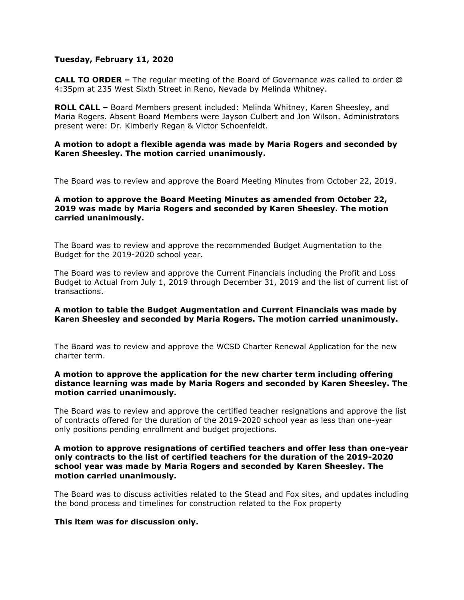### **Tuesday, February 11, 2020**

**CALL TO ORDER –** The regular meeting of the Board of Governance was called to order @ 4:35pm at 235 West Sixth Street in Reno, Nevada by Melinda Whitney.

**ROLL CALL –** Board Members present included: Melinda Whitney, Karen Sheesley, and Maria Rogers. Absent Board Members were Jayson Culbert and Jon Wilson. Administrators present were: Dr. Kimberly Regan & Victor Schoenfeldt.

## **A motion to adopt a flexible agenda was made by Maria Rogers and seconded by Karen Sheesley. The motion carried unanimously.**

The Board was to review and approve the Board Meeting Minutes from October 22, 2019.

# **A motion to approve the Board Meeting Minutes as amended from October 22, 2019 was made by Maria Rogers and seconded by Karen Sheesley. The motion carried unanimously.**

The Board was to review and approve the recommended Budget Augmentation to the Budget for the 2019-2020 school year.

The Board was to review and approve the Current Financials including the Profit and Loss Budget to Actual from July 1, 2019 through December 31, 2019 and the list of current list of transactions.

## **A motion to table the Budget Augmentation and Current Financials was made by Karen Sheesley and seconded by Maria Rogers. The motion carried unanimously.**

The Board was to review and approve the WCSD Charter Renewal Application for the new charter term.

# **A motion to approve the application for the new charter term including offering distance learning was made by Maria Rogers and seconded by Karen Sheesley. The motion carried unanimously.**

The Board was to review and approve the certified teacher resignations and approve the list of contracts offered for the duration of the 2019-2020 school year as less than one-year only positions pending enrollment and budget projections.

# **A motion to approve resignations of certified teachers and offer less than one-year only contracts to the list of certified teachers for the duration of the 2019-2020 school year was made by Maria Rogers and seconded by Karen Sheesley. The motion carried unanimously.**

The Board was to discuss activities related to the Stead and Fox sites, and updates including the bond process and timelines for construction related to the Fox property

#### **This item was for discussion only.**